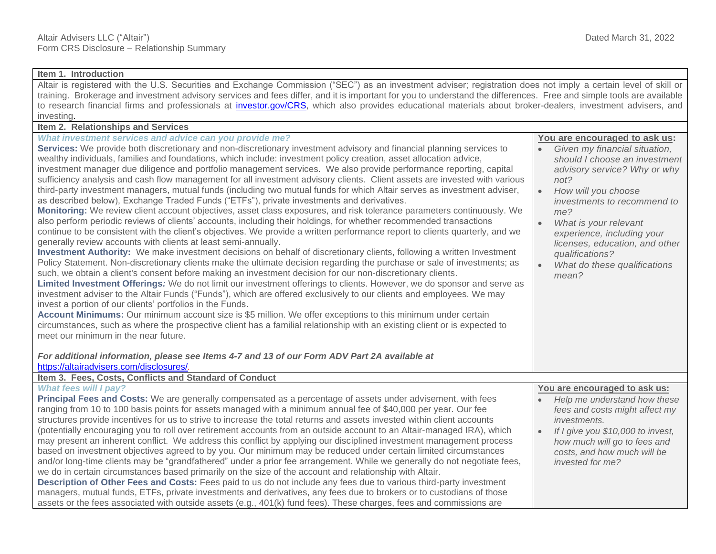## **Item 1. Introduction**

Altair is registered with the U.S. Securities and Exchange Commission ("SEC") as an investment adviser; registration does not imply a certain level of skill or training. Brokerage and investment advisory services and fees differ, and it is important for you to understand the differences. Free and simple tools are available to research financial firms and professionals at *investor.gov/CRS*, which also provides educational materials about broker-dealers, investment advisers, and investing.

## **Item 2. Relationships and Services**

| What investment services and advice can you provide me?                                                                                                                                                                                                                                                                                                                                                                                                                                                                                                                                                                                                                                                                                                                                                                                                                                                                                                                                                                                                                                                                                                                                                                                                                                                                                                                                                                                                                                                                                                                                                                                                                                                                                                                                                                                                                                                                                                                                                                                                                                                                                                                                                                                          | You are encouraged to ask us:                                                                                                                                                                                                                                                                                                                                   |
|--------------------------------------------------------------------------------------------------------------------------------------------------------------------------------------------------------------------------------------------------------------------------------------------------------------------------------------------------------------------------------------------------------------------------------------------------------------------------------------------------------------------------------------------------------------------------------------------------------------------------------------------------------------------------------------------------------------------------------------------------------------------------------------------------------------------------------------------------------------------------------------------------------------------------------------------------------------------------------------------------------------------------------------------------------------------------------------------------------------------------------------------------------------------------------------------------------------------------------------------------------------------------------------------------------------------------------------------------------------------------------------------------------------------------------------------------------------------------------------------------------------------------------------------------------------------------------------------------------------------------------------------------------------------------------------------------------------------------------------------------------------------------------------------------------------------------------------------------------------------------------------------------------------------------------------------------------------------------------------------------------------------------------------------------------------------------------------------------------------------------------------------------------------------------------------------------------------------------------------------------|-----------------------------------------------------------------------------------------------------------------------------------------------------------------------------------------------------------------------------------------------------------------------------------------------------------------------------------------------------------------|
| Services: We provide both discretionary and non-discretionary investment advisory and financial planning services to<br>wealthy individuals, families and foundations, which include: investment policy creation, asset allocation advice,<br>investment manager due diligence and portfolio management services. We also provide performance reporting, capital<br>sufficiency analysis and cash flow management for all investment advisory clients. Client assets are invested with various<br>third-party investment managers, mutual funds (including two mutual funds for which Altair serves as investment adviser,<br>as described below), Exchange Traded Funds ("ETFs"), private investments and derivatives.<br>Monitoring: We review client account objectives, asset class exposures, and risk tolerance parameters continuously. We<br>also perform periodic reviews of clients' accounts, including their holdings, for whether recommended transactions<br>continue to be consistent with the client's objectives. We provide a written performance report to clients quarterly, and we<br>generally review accounts with clients at least semi-annually.<br>Investment Authority: We make investment decisions on behalf of discretionary clients, following a written Investment<br>Policy Statement. Non-discretionary clients make the ultimate decision regarding the purchase or sale of investments; as<br>such, we obtain a client's consent before making an investment decision for our non-discretionary clients.<br>Limited Investment Offerings: We do not limit our investment offerings to clients. However, we do sponsor and serve as<br>investment adviser to the Altair Funds ("Funds"), which are offered exclusively to our clients and employees. We may<br>invest a portion of our clients' portfolios in the Funds.<br>Account Minimums: Our minimum account size is \$5 million. We offer exceptions to this minimum under certain<br>circumstances, such as where the prospective client has a familial relationship with an existing client or is expected to<br>meet our minimum in the near future.<br>For additional information, please see Items 4-7 and 13 of our Form ADV Part 2A available at | Given my financial situation,<br>should I choose an investment<br>advisory service? Why or why<br>not?<br>$\bullet$<br>How will you choose<br>investments to recommend to<br>me?<br>$\bullet$<br>What is your relevant<br>experience, including your<br>licenses, education, and other<br>qualifications?<br>What do these qualifications<br>$\bullet$<br>mean? |
| https://altairadvisers.com/disclosures/.                                                                                                                                                                                                                                                                                                                                                                                                                                                                                                                                                                                                                                                                                                                                                                                                                                                                                                                                                                                                                                                                                                                                                                                                                                                                                                                                                                                                                                                                                                                                                                                                                                                                                                                                                                                                                                                                                                                                                                                                                                                                                                                                                                                                         |                                                                                                                                                                                                                                                                                                                                                                 |
| Item 3. Fees, Costs, Conflicts and Standard of Conduct                                                                                                                                                                                                                                                                                                                                                                                                                                                                                                                                                                                                                                                                                                                                                                                                                                                                                                                                                                                                                                                                                                                                                                                                                                                                                                                                                                                                                                                                                                                                                                                                                                                                                                                                                                                                                                                                                                                                                                                                                                                                                                                                                                                           |                                                                                                                                                                                                                                                                                                                                                                 |
| <b>What fees will I pay?</b>                                                                                                                                                                                                                                                                                                                                                                                                                                                                                                                                                                                                                                                                                                                                                                                                                                                                                                                                                                                                                                                                                                                                                                                                                                                                                                                                                                                                                                                                                                                                                                                                                                                                                                                                                                                                                                                                                                                                                                                                                                                                                                                                                                                                                     | You are encouraged to ask us:                                                                                                                                                                                                                                                                                                                                   |
| Principal Fees and Costs: We are generally compensated as a percentage of assets under advisement, with fees<br>ranging from 10 to 100 basis points for assets managed with a minimum annual fee of \$40,000 per year. Our fee                                                                                                                                                                                                                                                                                                                                                                                                                                                                                                                                                                                                                                                                                                                                                                                                                                                                                                                                                                                                                                                                                                                                                                                                                                                                                                                                                                                                                                                                                                                                                                                                                                                                                                                                                                                                                                                                                                                                                                                                                   | Help me understand how these<br>fees and costs might affect my                                                                                                                                                                                                                                                                                                  |
| structures provide incentives for us to strive to increase the total returns and assets invested within client accounts                                                                                                                                                                                                                                                                                                                                                                                                                                                                                                                                                                                                                                                                                                                                                                                                                                                                                                                                                                                                                                                                                                                                                                                                                                                                                                                                                                                                                                                                                                                                                                                                                                                                                                                                                                                                                                                                                                                                                                                                                                                                                                                          | investments.                                                                                                                                                                                                                                                                                                                                                    |
| (potentially encouraging you to roll over retirement accounts from an outside account to an Altair-managed IRA), which                                                                                                                                                                                                                                                                                                                                                                                                                                                                                                                                                                                                                                                                                                                                                                                                                                                                                                                                                                                                                                                                                                                                                                                                                                                                                                                                                                                                                                                                                                                                                                                                                                                                                                                                                                                                                                                                                                                                                                                                                                                                                                                           | If I give you \$10,000 to invest,<br>$\bullet$                                                                                                                                                                                                                                                                                                                  |
| may present an inherent conflict. We address this conflict by applying our disciplined investment management process                                                                                                                                                                                                                                                                                                                                                                                                                                                                                                                                                                                                                                                                                                                                                                                                                                                                                                                                                                                                                                                                                                                                                                                                                                                                                                                                                                                                                                                                                                                                                                                                                                                                                                                                                                                                                                                                                                                                                                                                                                                                                                                             | how much will go to fees and                                                                                                                                                                                                                                                                                                                                    |
| based on investment objectives agreed to by you. Our minimum may be reduced under certain limited circumstances                                                                                                                                                                                                                                                                                                                                                                                                                                                                                                                                                                                                                                                                                                                                                                                                                                                                                                                                                                                                                                                                                                                                                                                                                                                                                                                                                                                                                                                                                                                                                                                                                                                                                                                                                                                                                                                                                                                                                                                                                                                                                                                                  | costs, and how much will be                                                                                                                                                                                                                                                                                                                                     |
| and/or long-time clients may be "grandfathered" under a prior fee arrangement. While we generally do not negotiate fees,                                                                                                                                                                                                                                                                                                                                                                                                                                                                                                                                                                                                                                                                                                                                                                                                                                                                                                                                                                                                                                                                                                                                                                                                                                                                                                                                                                                                                                                                                                                                                                                                                                                                                                                                                                                                                                                                                                                                                                                                                                                                                                                         | invested for me?                                                                                                                                                                                                                                                                                                                                                |
| we do in certain circumstances based primarily on the size of the account and relationship with Altair.                                                                                                                                                                                                                                                                                                                                                                                                                                                                                                                                                                                                                                                                                                                                                                                                                                                                                                                                                                                                                                                                                                                                                                                                                                                                                                                                                                                                                                                                                                                                                                                                                                                                                                                                                                                                                                                                                                                                                                                                                                                                                                                                          |                                                                                                                                                                                                                                                                                                                                                                 |
| Description of Other Fees and Costs: Fees paid to us do not include any fees due to various third-party investment                                                                                                                                                                                                                                                                                                                                                                                                                                                                                                                                                                                                                                                                                                                                                                                                                                                                                                                                                                                                                                                                                                                                                                                                                                                                                                                                                                                                                                                                                                                                                                                                                                                                                                                                                                                                                                                                                                                                                                                                                                                                                                                               |                                                                                                                                                                                                                                                                                                                                                                 |
| managers, mutual funds, ETFs, private investments and derivatives, any fees due to brokers or to custodians of those                                                                                                                                                                                                                                                                                                                                                                                                                                                                                                                                                                                                                                                                                                                                                                                                                                                                                                                                                                                                                                                                                                                                                                                                                                                                                                                                                                                                                                                                                                                                                                                                                                                                                                                                                                                                                                                                                                                                                                                                                                                                                                                             |                                                                                                                                                                                                                                                                                                                                                                 |
| assets or the fees associated with outside assets (e.g., 401(k) fund fees). These charges, fees and commissions are                                                                                                                                                                                                                                                                                                                                                                                                                                                                                                                                                                                                                                                                                                                                                                                                                                                                                                                                                                                                                                                                                                                                                                                                                                                                                                                                                                                                                                                                                                                                                                                                                                                                                                                                                                                                                                                                                                                                                                                                                                                                                                                              |                                                                                                                                                                                                                                                                                                                                                                 |